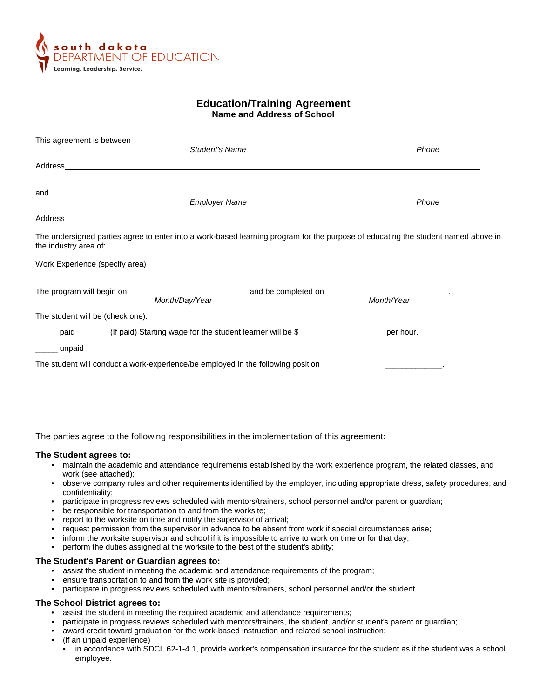

# **Education/Training Agreement Name and Address of School**

|                                  | This agreement is between                                                                                       |                                                                                  |                                                                                                                                   |
|----------------------------------|-----------------------------------------------------------------------------------------------------------------|----------------------------------------------------------------------------------|-----------------------------------------------------------------------------------------------------------------------------------|
|                                  |                                                                                                                 | Student's Name                                                                   | Phone                                                                                                                             |
|                                  | Address and the contract of the contract of the contract of the contract of the contract of the contract of the |                                                                                  |                                                                                                                                   |
|                                  |                                                                                                                 | <b>Employer Name</b>                                                             |                                                                                                                                   |
|                                  |                                                                                                                 |                                                                                  | Phone                                                                                                                             |
|                                  |                                                                                                                 |                                                                                  |                                                                                                                                   |
| the industry area of:            |                                                                                                                 |                                                                                  | The undersigned parties agree to enter into a work-based learning program for the purpose of educating the student named above in |
|                                  |                                                                                                                 |                                                                                  |                                                                                                                                   |
|                                  |                                                                                                                 |                                                                                  |                                                                                                                                   |
|                                  |                                                                                                                 |                                                                                  |                                                                                                                                   |
| The student will be (check one): |                                                                                                                 |                                                                                  |                                                                                                                                   |
| _____ paid                       |                                                                                                                 | (If paid) Starting wage for the student learner will be \$                       |                                                                                                                                   |
| ______ unpaid                    |                                                                                                                 |                                                                                  |                                                                                                                                   |
|                                  |                                                                                                                 | The student will conduct a work-experience/be employed in the following position |                                                                                                                                   |
|                                  |                                                                                                                 |                                                                                  |                                                                                                                                   |
|                                  |                                                                                                                 |                                                                                  |                                                                                                                                   |

The parties agree to the following responsibilities in the implementation of this agreement:

### **The Student agrees to:**

- maintain the academic and attendance requirements established by the work experience program, the related classes, and work (see attached);
- observe company rules and other requirements identified by the employer, including appropriate dress, safety procedures, and confidentiality;
- participate in progress reviews scheduled with mentors/trainers, school personnel and/or parent or guardian;
- be responsible for transportation to and from the worksite;
- report to the worksite on time and notify the supervisor of arrival;
- request permission from the supervisor in advance to be absent from work if special circumstances arise;
- inform the worksite supervisor and school if it is impossible to arrive to work on time or for that day;
- perform the duties assigned at the worksite to the best of the student's ability;

#### **The Student's Parent or Guardian agrees to:**

- assist the student in meeting the academic and attendance requirements of the program;
- ensure transportation to and from the work site is provided;
- participate in progress reviews scheduled with mentors/trainers, school personnel and/or the student.

### **The School District agrees to:**

- assist the student in meeting the required academic and attendance requirements;
- participate in progress reviews scheduled with mentors/trainers, the student, and/or student's parent or guardian;
- award credit toward graduation for the work-based instruction and related school instruction;
- (if an unpaid experience)
	- in accordance with SDCL 62-1-4.1, provide worker's compensation insurance for the student as if the student was a school employee.